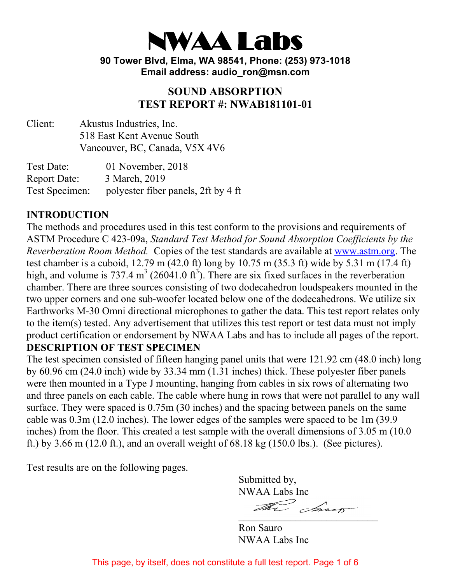

**90 Tower Blvd, Elma, WA 98541, Phone: (253) 973-1018 Email address: audio\_ron@msn.com**

### **SOUND ABSORPTION TEST REPORT #: NWAB181101-01**

Client: Akustus Industries, Inc. 518 East Kent Avenue South Vancouver, BC, Canada, V5X 4V6

Test Date: 01 November, 2018 Report Date: 3 March, 2019 Test Specimen: polyester fiber panels, 2ft by 4 ft

#### **INTRODUCTION**

The methods and procedures used in this test conform to the provisions and requirements of ASTM Procedure C 423-09a, *Standard Test Method for Sound Absorption Coefficients by the Reverberation Room Method.* Copies of the test standards are available at [www.astm.org.](http://www.astm.org/) The test chamber is a cuboid, 12.79 m (42.0 ft) long by 10.75 m (35.3 ft) wide by 5.31 m (17.4 ft) high, and volume is 737.4 m<sup>3</sup> (26041.0 ft<sup>3</sup>). There are six fixed surfaces in the reverberation chamber. There are three sources consisting of two dodecahedron loudspeakers mounted in the two upper corners and one sub-woofer located below one of the dodecahedrons. We utilize six Earthworks M-30 Omni directional microphones to gather the data. This test report relates only to the item(s) tested. Any advertisement that utilizes this test report or test data must not imply product certification or endorsement by NWAA Labs and has to include all pages of the report. **DESCRIPTION OF TEST SPECIMEN**

The test specimen consisted of fifteen hanging panel units that were 121.92 cm (48.0 inch) long by 60.96 cm (24.0 inch) wide by 33.34 mm (1.31 inches) thick. These polyester fiber panels were then mounted in a Type J mounting, hanging from cables in six rows of alternating two and three panels on each cable. The cable where hung in rows that were not parallel to any wall surface. They were spaced is 0.75m (30 inches) and the spacing between panels on the same cable was 0.3m (12.0 inches). The lower edges of the samples were spaced to be 1m (39.9 inches) from the floor. This created a test sample with the overall dimensions of 3.05 m (10.0 ft.) by 3.66 m (12.0 ft.), and an overall weight of 68.18 kg (150.0 lbs.). (See pictures).

Test results are on the following pages.

Submitted by,  $NWAA$  Labs Inc  $\overline{\phantom{a}}$ 

Ron Sauro NWAA Labs Inc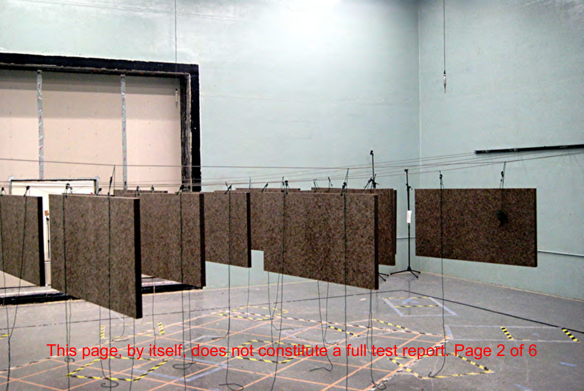This page, by itself, does not constitute a full test report. Page 2 of 6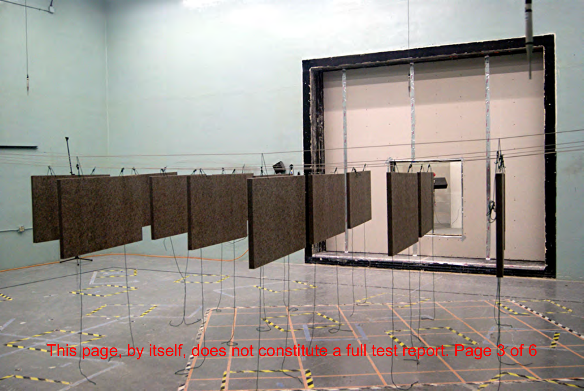This page, by itself, does not constitute a full test report. Page 3 of 6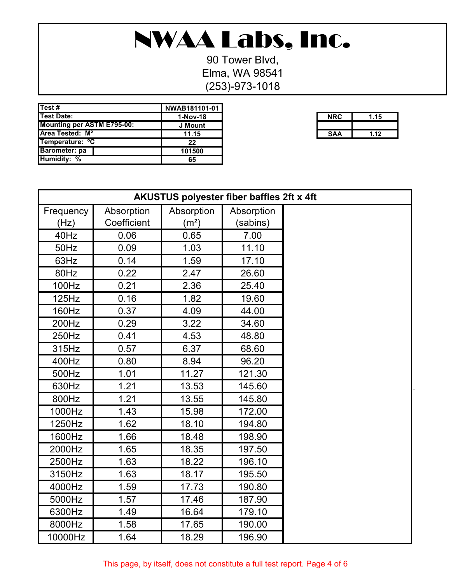# NWAA Labs, Inc.

90 Tower Blvd, Elma, WA 98541 (253)-973-1018

| <b>ITest#</b>               | NWAB181101-01 |
|-----------------------------|---------------|
| <b>Test Date:</b>           | 1-Nov-18      |
| Mounting per ASTM E795-00:  | J Mount       |
| Area Tested: M <sup>2</sup> | 11.15         |
| Temperature: <sup>o</sup> C | 22            |
| Barometer: pa               | 101500        |
| Humidity: %                 | 65            |

| .        |            |      |
|----------|------------|------|
| 1-Nov-18 | <b>NRC</b> | 1.15 |
| J Mount  |            |      |
| 11.15    | <b>SAA</b> | 1.12 |

| AKUSTUS polyester fiber baffles 2ft x 4ft |             |                   |            |  |
|-------------------------------------------|-------------|-------------------|------------|--|
| Frequency                                 | Absorption  | Absorption        | Absorption |  |
| (Hz)                                      | Coefficient | (m <sup>2</sup> ) | (sabins)   |  |
| 40Hz                                      | 0.06        | 0.65              | 7.00       |  |
| 50Hz                                      | 0.09        | 1.03              | 11.10      |  |
| 63Hz                                      | 0.14        | 1.59              | 17.10      |  |
| 80Hz                                      | 0.22        | 2.47              | 26.60      |  |
| 100Hz                                     | 0.21        | 2.36              | 25.40      |  |
| 125Hz                                     | 0.16        | 1.82              | 19.60      |  |
| 160Hz                                     | 0.37        | 4.09              | 44.00      |  |
| 200Hz                                     | 0.29        | 3.22              | 34.60      |  |
| 250Hz                                     | 0.41        | 4.53              | 48.80      |  |
| 315Hz                                     | 0.57        | 6.37              | 68.60      |  |
| 400Hz                                     | 0.80        | 8.94              | 96.20      |  |
| 500Hz                                     | 1.01        | 11.27             | 121.30     |  |
| 630Hz                                     | 1.21        | 13.53             | 145.60     |  |
| 800Hz                                     | 1.21        | 13.55             | 145.80     |  |
| 1000Hz                                    | 1.43        | 15.98             | 172.00     |  |
| 1250Hz                                    | 1.62        | 18.10             | 194.80     |  |
| 1600Hz                                    | 1.66        | 18.48             | 198.90     |  |
| 2000Hz                                    | 1.65        | 18.35             | 197.50     |  |
| 2500Hz                                    | 1.63        | 18.22             | 196.10     |  |
| 3150Hz                                    | 1.63        | 18.17             | 195.50     |  |
| 4000Hz                                    | 1.59        | 17.73             | 190.80     |  |
| 5000Hz                                    | 1.57        | 17.46             | 187.90     |  |
| 6300Hz                                    | 1.49        | 16.64             | 179.10     |  |
| 8000Hz                                    | 1.58        | 17.65             | 190.00     |  |
| 10000Hz                                   | 1.64        | 18.29             | 196.90     |  |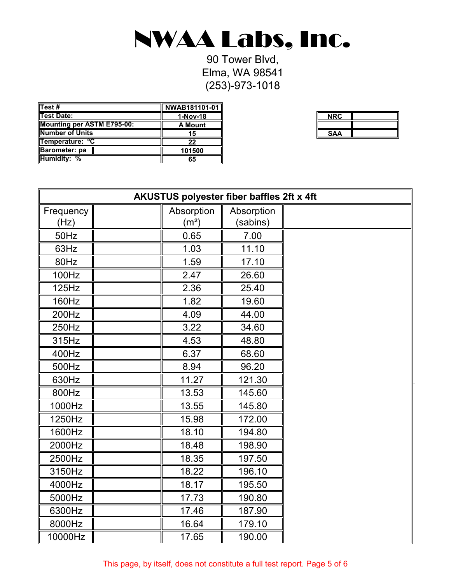

90 Tower Blvd, Elma, WA 98541 (253)-973-1018

| Test#                      | NWAB181101-01  |
|----------------------------|----------------|
| <b>Test Date:</b>          | 1-Nov-18       |
| Mounting per ASTM E795-00: | <b>A Mount</b> |
| <b>Number of Units</b>     | 15             |
| Temperature: °C            |                |
| Barometer: pa              | 101500         |
| <b>Humidity:</b><br>%      | 65             |

| <u>งR</u> C |  |
|-------------|--|
|             |  |
| SAA         |  |

| AKUSTUS polyester fiber baffles 2ft x 4ft |  |                                 |                        |  |
|-------------------------------------------|--|---------------------------------|------------------------|--|
| Frequency<br>(Hz)                         |  | Absorption<br>(m <sup>2</sup> ) | Absorption<br>(sabins) |  |
| 50Hz                                      |  | 0.65                            | 7.00                   |  |
| 63Hz                                      |  | 1.03                            | 11.10                  |  |
| 80Hz                                      |  | 1.59                            | 17.10                  |  |
| 100Hz                                     |  | 2.47                            | 26.60                  |  |
| 125Hz                                     |  | 2.36                            | 25.40                  |  |
| 160Hz                                     |  | 1.82                            | 19.60                  |  |
| 200Hz                                     |  | 4.09                            | 44.00                  |  |
| 250Hz                                     |  | 3.22                            | 34.60                  |  |
| 315Hz                                     |  | 4.53                            | 48.80                  |  |
| 400Hz                                     |  | 6.37                            | 68.60                  |  |
| 500Hz                                     |  | 8.94                            | 96.20                  |  |
| 630Hz                                     |  | 11.27                           | 121.30                 |  |
| 800Hz                                     |  | 13.53                           | 145.60                 |  |
| 1000Hz                                    |  | 13.55                           | 145.80                 |  |
| 1250Hz                                    |  | 15.98                           | 172.00                 |  |
| 1600Hz                                    |  | 18.10                           | 194.80                 |  |
| 2000Hz                                    |  | 18.48                           | 198.90                 |  |
| 2500Hz                                    |  | 18.35                           | 197.50                 |  |
| 3150Hz                                    |  | 18.22                           | 196.10                 |  |
| 4000Hz                                    |  | 18.17                           | 195.50                 |  |
| 5000Hz                                    |  | 17.73                           | 190.80                 |  |
| 6300Hz                                    |  | 17.46                           | 187.90                 |  |
| 8000Hz                                    |  | 16.64                           | 179.10                 |  |
| 10000Hz                                   |  | 17.65                           | 190.00                 |  |